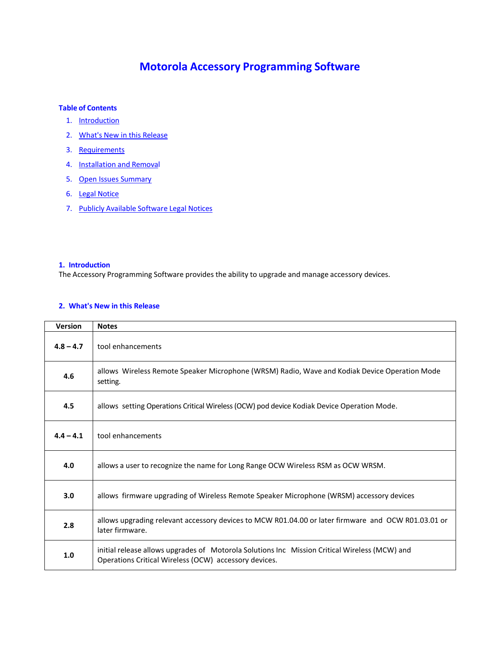# **Motorola Accessory Programming Software**

## **Table of Contents**

- 1. Introduction
- 2. What's New in this Release
- 3. Requirements
- 4. Installation and Removal
- 5. Open Issues Summary
- 6. Legal Notice
- 7. Publicly Available Software Legal Notices

# **1. Introduction**

The Accessory Programming Software provides the ability to upgrade and manage accessory devices.

# **2. What's New in this Release**

| <b>Version</b> | <b>Notes</b>                                                                                                                                           |
|----------------|--------------------------------------------------------------------------------------------------------------------------------------------------------|
| $4.8 - 4.7$    | tool enhancements                                                                                                                                      |
| 4.6            | allows Wireless Remote Speaker Microphone (WRSM) Radio, Wave and Kodiak Device Operation Mode<br>setting.                                              |
| 4.5            | allows setting Operations Critical Wireless (OCW) pod device Kodiak Device Operation Mode.                                                             |
| $4.4 - 4.1$    | tool enhancements                                                                                                                                      |
| 4.0            | allows a user to recognize the name for Long Range OCW Wireless RSM as OCW WRSM.                                                                       |
| 3.0            | allows firmware upgrading of Wireless Remote Speaker Microphone (WRSM) accessory devices                                                               |
| 2.8            | allows upgrading relevant accessory devices to MCW R01.04.00 or later firmware and OCW R01.03.01 or<br>later firmware.                                 |
| 1.0            | initial release allows upgrades of Motorola Solutions Inc Mission Critical Wireless (MCW) and<br>Operations Critical Wireless (OCW) accessory devices. |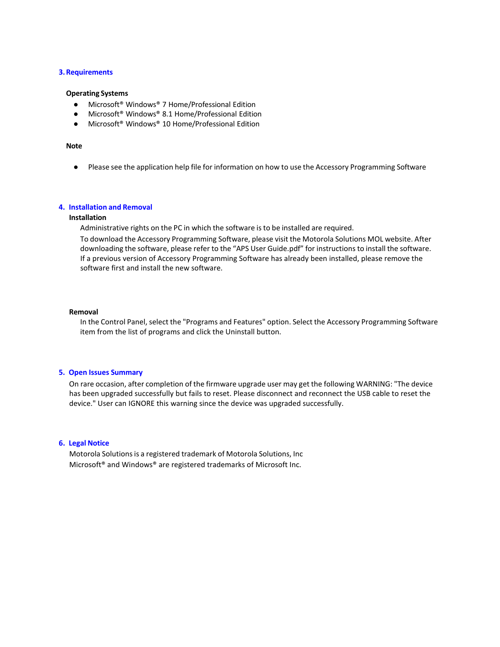## **3.Requirements**

### **Operating Systems**

- Microsoft<sup>®</sup> Windows<sup>®</sup> 7 Home/Professional Edition
- Microsoft<sup>®</sup> Windows<sup>®</sup> 8.1 Home/Professional Edition
- Microsoft® Windows® 10 Home/Professional Edition

## **Note**

● Please see the application help file for information on how to use the Accessory Programming Software

# **4. Installation and Removal**

## **Installation**

Administrative rights on the PC in which the software is to be installed are required. To download the Accessory Programming Software, please visit the Motorola Solutions MOL website. After downloading the software, please refer to the "APS User Guide.pdf" for instructions to install the software. If a previous version of Accessory Programming Software has already been installed, please remove the software first and install the new software.

#### **Removal**

In the Control Panel, select the "Programs and Features" option. Select the Accessory Programming Software item from the list of programs and click the Uninstall button.

### **5. Open Issues Summary**

On rare occasion, after completion of the firmware upgrade user may get the following WARNING: "The device has been upgraded successfully but fails to reset. Please disconnect and reconnect the USB cable to reset the device." User can IGNORE this warning since the device was upgraded successfully.

## **6. Legal Notice**

Motorola Solutions is a registered trademark of Motorola Solutions, Inc Microsoft® and Windows® are registered trademarks of Microsoft Inc.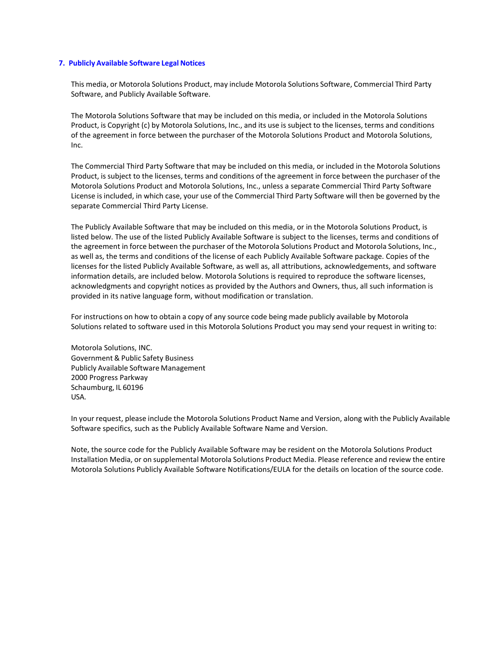## **7. Publicly Available Software Legal Notices**

This media, or Motorola Solutions Product, may include Motorola Solutions Software, Commercial Third Party Software, and Publicly Available Software.

The Motorola Solutions Software that may be included on this media, or included in the Motorola Solutions Product, is Copyright (c) by Motorola Solutions, Inc., and its use is subject to the licenses, terms and conditions of the agreement in force between the purchaser of the Motorola Solutions Product and Motorola Solutions, Inc.

The Commercial Third Party Software that may be included on this media, or included in the Motorola Solutions Product, is subject to the licenses, terms and conditions of the agreement in force between the purchaser of the Motorola Solutions Product and Motorola Solutions, Inc., unless a separate Commercial Third Party Software License is included, in which case, your use of the Commercial Third Party Software will then be governed by the separate Commercial Third Party License.

The Publicly Available Software that may be included on this media, or in the Motorola Solutions Product, is listed below. The use of the listed Publicly Available Software is subject to the licenses, terms and conditions of the agreement in force between the purchaser of the Motorola Solutions Product and Motorola Solutions, Inc., as well as, the terms and conditions of the license of each Publicly Available Software package. Copies of the licenses for the listed Publicly Available Software, as well as, all attributions, acknowledgements, and software information details, are included below. Motorola Solutions is required to reproduce the software licenses, acknowledgments and copyright notices as provided by the Authors and Owners, thus, all such information is provided in its native language form, without modification or translation.

For instructions on how to obtain a copy of any source code being made publicly available by Motorola Solutions related to software used in this Motorola Solutions Product you may send your request in writing to:

Motorola Solutions, INC. Government & Public Safety Business Publicly Available Software Management 2000 Progress Parkway Schaumburg, IL 60196 USA.

In your request, please include the Motorola Solutions Product Name and Version, along with the Publicly Available Software specifics, such as the Publicly Available Software Name and Version.

Note, the source code for the Publicly Available Software may be resident on the Motorola Solutions Product Installation Media, or on supplemental Motorola Solutions Product Media. Please reference and review the entire Motorola Solutions Publicly Available Software Notifications/EULA for the details on location of the source code.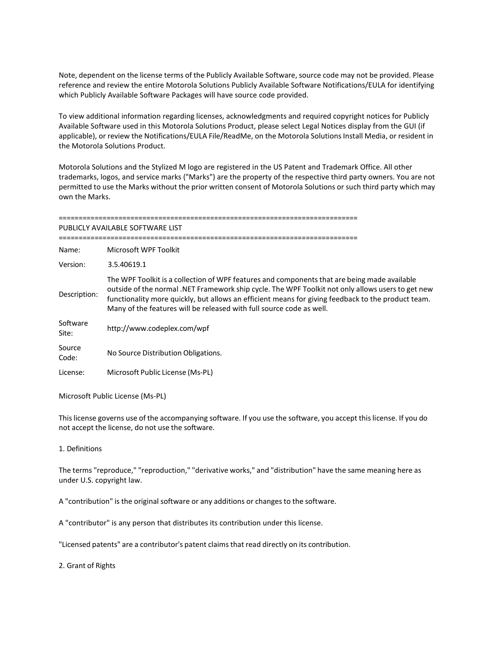Note, dependent on the license terms of the Publicly Available Software, source code may not be provided. Please reference and review the entire Motorola Solutions Publicly Available Software Notifications/EULA for identifying which Publicly Available Software Packages will have source code provided.

To view additional information regarding licenses, acknowledgments and required copyright notices for Publicly Available Software used in this Motorola Solutions Product, please select Legal Notices display from the GUI (if applicable), or review the Notifications/EULA File/ReadMe, on the Motorola Solutions Install Media, or resident in the Motorola Solutions Product.

Motorola Solutions and the Stylized M logo are registered in the US Patent and Trademark Office. All other trademarks, logos, and service marks ("Marks") are the property of the respective third party owners. You are not permitted to use the Marks without the prior written consent of Motorola Solutions or such third party which may own the Marks.

| PUBLICLY AVAILABLE SOFTWARE LIST |                                                                                                                                                                                                                                                                                                                                                                                 |  |
|----------------------------------|---------------------------------------------------------------------------------------------------------------------------------------------------------------------------------------------------------------------------------------------------------------------------------------------------------------------------------------------------------------------------------|--|
| Name:                            | Microsoft WPF Toolkit                                                                                                                                                                                                                                                                                                                                                           |  |
| Version:                         | 3.5.40619.1                                                                                                                                                                                                                                                                                                                                                                     |  |
| Description:                     | The WPF Toolkit is a collection of WPF features and components that are being made available<br>outside of the normal .NET Framework ship cycle. The WPF Toolkit not only allows users to get new<br>functionality more quickly, but allows an efficient means for giving feedback to the product team.<br>Many of the features will be released with full source code as well. |  |
| Software<br>Site:                | http://www.codeplex.com/wpf                                                                                                                                                                                                                                                                                                                                                     |  |
| Source<br>Code:                  | No Source Distribution Obligations.                                                                                                                                                                                                                                                                                                                                             |  |
| License:                         | Microsoft Public License (Ms-PL)                                                                                                                                                                                                                                                                                                                                                |  |

Microsoft Public License (Ms-PL)

Thislicense governs use of the accompanying software. If you use the software, you accept thislicense. If you do not accept the license, do not use the software.

1. Definitions

The terms "reproduce," "reproduction," "derivative works," and "distribution" have the same meaning here as under U.S. copyright law.

A "contribution" is the original software or any additions or changes to the software.

A "contributor" is any person that distributes its contribution under this license.

"Licensed patents" are a contributor's patent claimsthat read directly on its contribution.

2. Grant of Rights